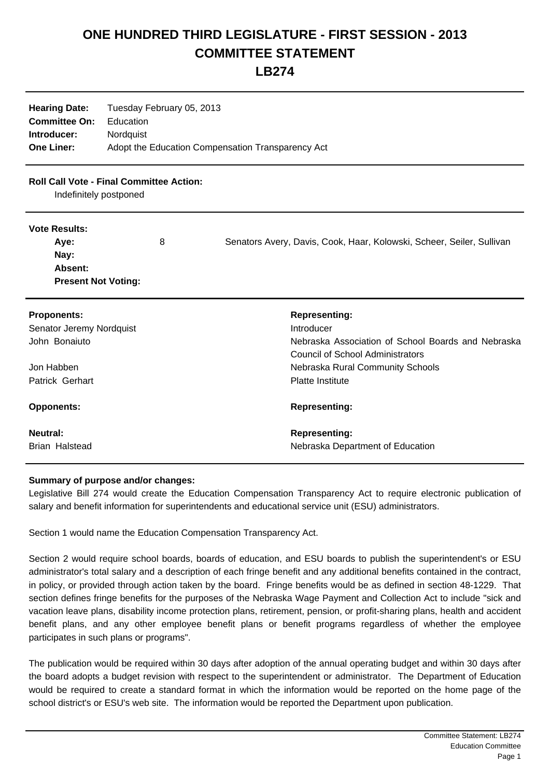## **ONE HUNDRED THIRD LEGISLATURE - FIRST SESSION - 2013 COMMITTEE STATEMENT**

**LB274**

| <b>Hearing Date:</b> | Tuesday February 05, 2013                         |  |
|----------------------|---------------------------------------------------|--|
| <b>Committee On:</b> | Education                                         |  |
| Introducer:          | Nordguist                                         |  |
| <b>One Liner:</b>    | Adopt the Education Compensation Transparency Act |  |

## **Roll Call Vote - Final Committee Action:**

Indefinitely postponed

## **Vote Results:**

| Ave:                       | 8 | Senators Avery, Davis, Cook, Haar, Kolowski, Scheer, Seiler, Sullivan |
|----------------------------|---|-----------------------------------------------------------------------|
| Nay:                       |   |                                                                       |
| Absent:                    |   |                                                                       |
| <b>Present Not Voting:</b> |   |                                                                       |

| <b>Proponents:</b>       | <b>Representing:</b>                               |
|--------------------------|----------------------------------------------------|
| Senator Jeremy Nordquist | Introducer                                         |
| John Bonaiuto            | Nebraska Association of School Boards and Nebraska |
|                          | Council of School Administrators                   |
| Jon Habben               | Nebraska Rural Community Schools                   |
| Patrick Gerhart          | <b>Platte Institute</b>                            |
| <b>Opponents:</b>        | <b>Representing:</b>                               |
| <b>Neutral:</b>          | <b>Representing:</b>                               |
| Brian Halstead           | Nebraska Department of Education                   |

## **Summary of purpose and/or changes:**

Legislative Bill 274 would create the Education Compensation Transparency Act to require electronic publication of salary and benefit information for superintendents and educational service unit (ESU) administrators.

Section 1 would name the Education Compensation Transparency Act.

Section 2 would require school boards, boards of education, and ESU boards to publish the superintendent's or ESU administrator's total salary and a description of each fringe benefit and any additional benefits contained in the contract, in policy, or provided through action taken by the board. Fringe benefits would be as defined in section 48-1229. That section defines fringe benefits for the purposes of the Nebraska Wage Payment and Collection Act to include "sick and vacation leave plans, disability income protection plans, retirement, pension, or profit-sharing plans, health and accident benefit plans, and any other employee benefit plans or benefit programs regardless of whether the employee participates in such plans or programs".

The publication would be required within 30 days after adoption of the annual operating budget and within 30 days after the board adopts a budget revision with respect to the superintendent or administrator. The Department of Education would be required to create a standard format in which the information would be reported on the home page of the school district's or ESU's web site. The information would be reported the Department upon publication.